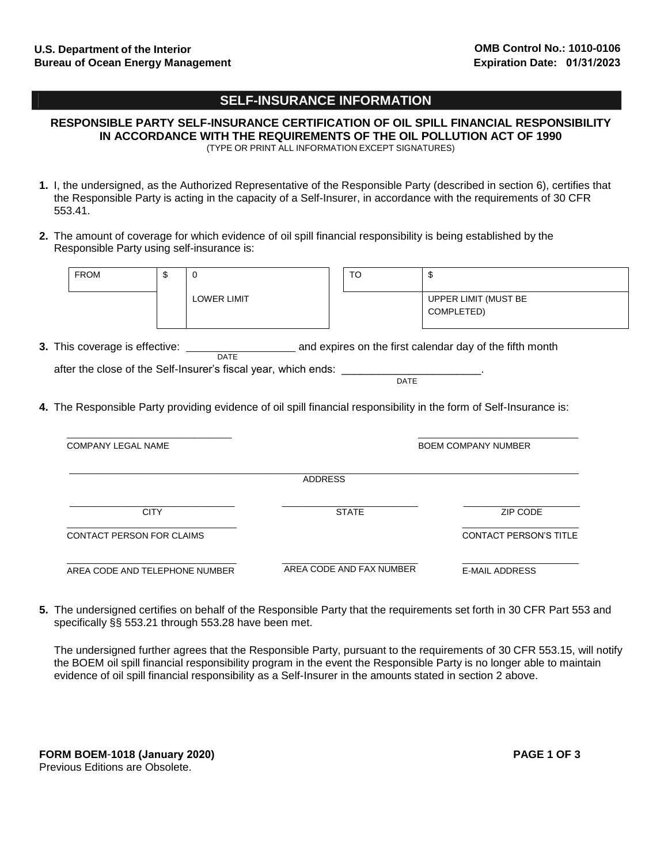## **SELF-INSURANCE INFORMATION**

**RESPONSIBLE PARTY SELF-INSURANCE CERTIFICATION OF OIL SPILL FINANCIAL RESPONSIBILITY IN ACCORDANCE WITH THE REQUIREMENTS OF THE OIL POLLUTION ACT OF 1990** (TYPE OR PRINT ALL INFORMATION EXCEPT SIGNATURES)

- **1.** I, the undersigned, as the Authorized Representative of the Responsible Party (described in section 6), certifies that the Responsible Party is acting in the capacity of a Self-Insurer, in accordance with the requirements of 30 CFR 553.41.
- **2.** The amount of coverage for which evidence of oil spill financial responsibility is being established by the Responsible Party using self-insurance is:

| <b>FROM</b>        | \$          | $\Omega$                                                       | <b>TO</b>      | \$                                                                                                                  |
|--------------------|-------------|----------------------------------------------------------------|----------------|---------------------------------------------------------------------------------------------------------------------|
|                    |             | <b>LOWER LIMIT</b>                                             |                | UPPER LIMIT (MUST BE                                                                                                |
|                    |             |                                                                |                | COMPLETED)                                                                                                          |
|                    |             |                                                                |                |                                                                                                                     |
|                    |             | <b>DATE</b>                                                    |                |                                                                                                                     |
|                    |             | after the close of the Self-Insurer's fiscal year, which ends: |                | <b>DATE</b>                                                                                                         |
|                    |             |                                                                |                |                                                                                                                     |
|                    |             |                                                                |                |                                                                                                                     |
|                    |             |                                                                |                | 4. The Responsible Party providing evidence of oil spill financial responsibility in the form of Self-Insurance is: |
| COMPANY LEGAL NAME |             |                                                                |                | <b>BOEM COMPANY NUMBER</b>                                                                                          |
|                    |             |                                                                | <b>ADDRESS</b> |                                                                                                                     |
|                    |             |                                                                |                |                                                                                                                     |
|                    | <b>CITY</b> |                                                                | <b>STATE</b>   | ZIP CODE                                                                                                            |

\_\_\_\_\_\_\_\_\_\_\_\_\_\_\_\_\_\_\_\_\_\_\_\_\_\_\_\_\_\_\_\_\_\_\_ AREA CODE AND TELEPHONE NUMBER \_\_\_\_\_\_\_\_\_\_\_\_\_\_\_\_\_\_\_\_\_\_\_\_\_\_\_\_ AREA CODE AND FAX NUMBER

\_\_\_\_\_\_\_\_\_\_\_\_\_\_\_\_\_\_\_\_\_\_\_\_ E-MAIL ADDRESS

**5.** The undersigned certifies on behalf of the Responsible Party that the requirements set forth in 30 CFR Part 553 and specifically §§ 553.21 through 553.28 have been met.

The undersigned further agrees that the Responsible Party, pursuant to the requirements of 30 CFR 553.15, will notify the BOEM oil spill financial responsibility program in the event the Responsible Party is no longer able to maintain evidence of oil spill financial responsibility as a Self-Insurer in the amounts stated in section 2 above.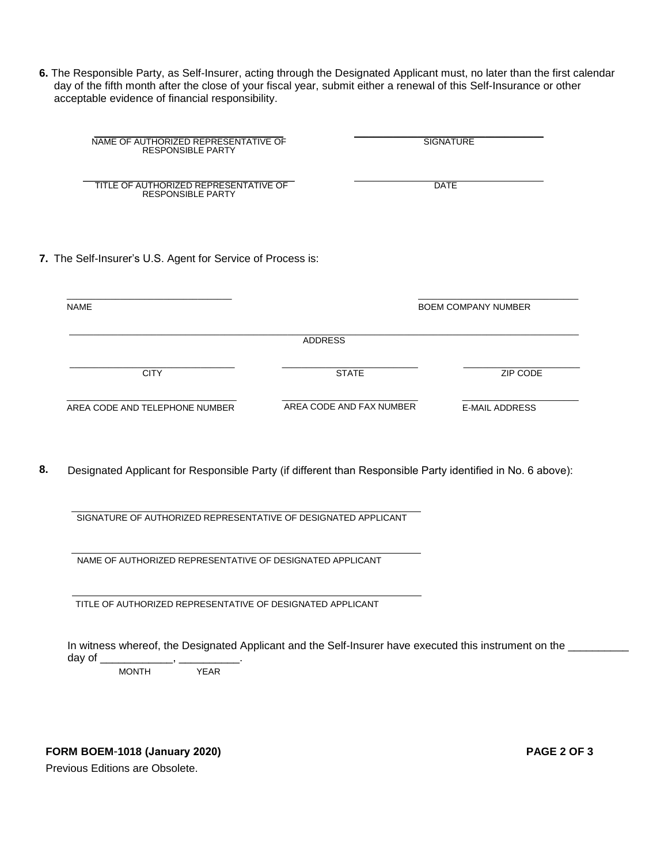**6.** The Responsible Party, as Self-Insurer, acting through the Designated Applicant must, no later than the first calendar day of the fifth month after the close of your fiscal year, submit either a renewal of this Self-Insurance or other acceptable evidence of financial responsibility.

| NAME OF AUTHORIZED REPRESENTATIVE OF<br><b>RESPONSIBLE PARTY</b>                          |                | <b>SIGNATURE</b>           |
|-------------------------------------------------------------------------------------------|----------------|----------------------------|
| TITLE OF AUTHORIZED REPRESENTATIVE OF<br><b>RESPONSIBLE PARTY</b>                         |                | <b>DATE</b>                |
|                                                                                           |                |                            |
|                                                                                           |                | <b>BOEM COMPANY NUMBER</b> |
|                                                                                           | <b>ADDRESS</b> |                            |
| 7. The Self-Insurer's U.S. Agent for Service of Process is:<br><b>NAME</b><br><b>CITY</b> | <b>STATE</b>   | ZIP CODE                   |

**8.** Designated Applicant for Responsible Party (if different than Responsible Party identified in No. 6 above):

SIGNATURE OF AUTHORIZED REPRESENTATIVE OF DESIGNATED APPLICANT

NAME OF AUTHORIZED REPRESENTATIVE OF DESIGNATED APPLICANT

TITLE OF AUTHORIZED REPRESENTATIVE OF DESIGNATED APPLICANT

In witness whereof, the Designated Applicant and the Self-Insurer have executed this instrument on the \_\_\_\_\_\_\_\_ day of  $\_$ 

MONTH YEAR

**FORM BOEM**-**1018 (January 2020) PAGE 2 OF 3** 

Previous Editions are Obsolete.